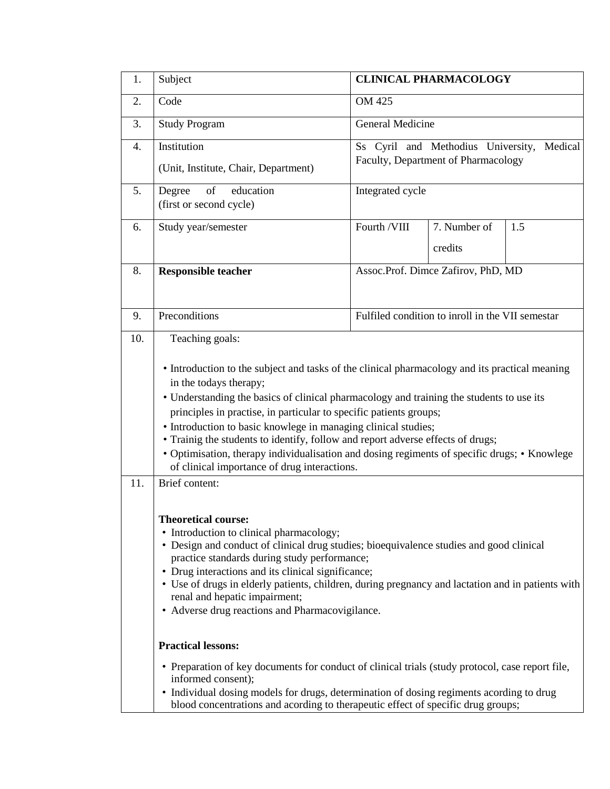| 1.  | Subject                                                                                                                                                                                                                                                                                                                                                                                                                                                                                                                                                                                         | <b>CLINICAL PHARMACOLOGY</b>                     |                                     |         |  |
|-----|-------------------------------------------------------------------------------------------------------------------------------------------------------------------------------------------------------------------------------------------------------------------------------------------------------------------------------------------------------------------------------------------------------------------------------------------------------------------------------------------------------------------------------------------------------------------------------------------------|--------------------------------------------------|-------------------------------------|---------|--|
| 2.  | Code                                                                                                                                                                                                                                                                                                                                                                                                                                                                                                                                                                                            | OM 425                                           |                                     |         |  |
| 3.  | <b>Study Program</b>                                                                                                                                                                                                                                                                                                                                                                                                                                                                                                                                                                            | <b>General Medicine</b>                          |                                     |         |  |
| 4.  | Institution                                                                                                                                                                                                                                                                                                                                                                                                                                                                                                                                                                                     |                                                  | Ss Cyril and Methodius University,  | Medical |  |
|     | (Unit, Institute, Chair, Department)                                                                                                                                                                                                                                                                                                                                                                                                                                                                                                                                                            |                                                  | Faculty, Department of Pharmacology |         |  |
| 5.  | of<br>education<br>Degree<br>(first or second cycle)                                                                                                                                                                                                                                                                                                                                                                                                                                                                                                                                            | Integrated cycle                                 |                                     |         |  |
| 6.  | Study year/semester                                                                                                                                                                                                                                                                                                                                                                                                                                                                                                                                                                             | Fourth /VIII                                     | 7. Number of                        | 1.5     |  |
|     |                                                                                                                                                                                                                                                                                                                                                                                                                                                                                                                                                                                                 |                                                  | credits                             |         |  |
| 8.  | <b>Responsible teacher</b>                                                                                                                                                                                                                                                                                                                                                                                                                                                                                                                                                                      | Assoc.Prof. Dimce Zafirov, PhD, MD               |                                     |         |  |
| 9.  | Preconditions                                                                                                                                                                                                                                                                                                                                                                                                                                                                                                                                                                                   | Fulfiled condition to inroll in the VII semestar |                                     |         |  |
| 10. | Teaching goals:                                                                                                                                                                                                                                                                                                                                                                                                                                                                                                                                                                                 |                                                  |                                     |         |  |
|     | • Introduction to the subject and tasks of the clinical pharmacology and its practical meaning<br>in the todays therapy;<br>• Understanding the basics of clinical pharmacology and training the students to use its<br>principles in practise, in particular to specific patients groups;<br>• Introduction to basic knowlege in managing clinical studies;<br>• Trainig the students to identify, follow and report adverse effects of drugs;<br>· Optimisation, therapy individualisation and dosing regiments of specific drugs; • Knowlege<br>of clinical importance of drug interactions. |                                                  |                                     |         |  |
| 11. | Brief content:                                                                                                                                                                                                                                                                                                                                                                                                                                                                                                                                                                                  |                                                  |                                     |         |  |
|     | <b>Theoretical course:</b><br>· Introduction to clinical pharmacology;<br>• Design and conduct of clinical drug studies; bioequivalence studies and good clinical<br>practice standards during study performance;<br>• Drug interactions and its clinical significance;<br>• Use of drugs in elderly patients, children, during pregnancy and lactation and in patients with<br>renal and hepatic impairment;<br>• Adverse drug reactions and Pharmacovigilance.                                                                                                                                |                                                  |                                     |         |  |
|     | <b>Practical lessons:</b>                                                                                                                                                                                                                                                                                                                                                                                                                                                                                                                                                                       |                                                  |                                     |         |  |
|     | • Preparation of key documents for conduct of clinical trials (study protocol, case report file,<br>informed consent);<br>• Individual dosing models for drugs, determination of dosing regiments acording to drug                                                                                                                                                                                                                                                                                                                                                                              |                                                  |                                     |         |  |
|     | blood concentrations and acording to therapeutic effect of specific drug groups;                                                                                                                                                                                                                                                                                                                                                                                                                                                                                                                |                                                  |                                     |         |  |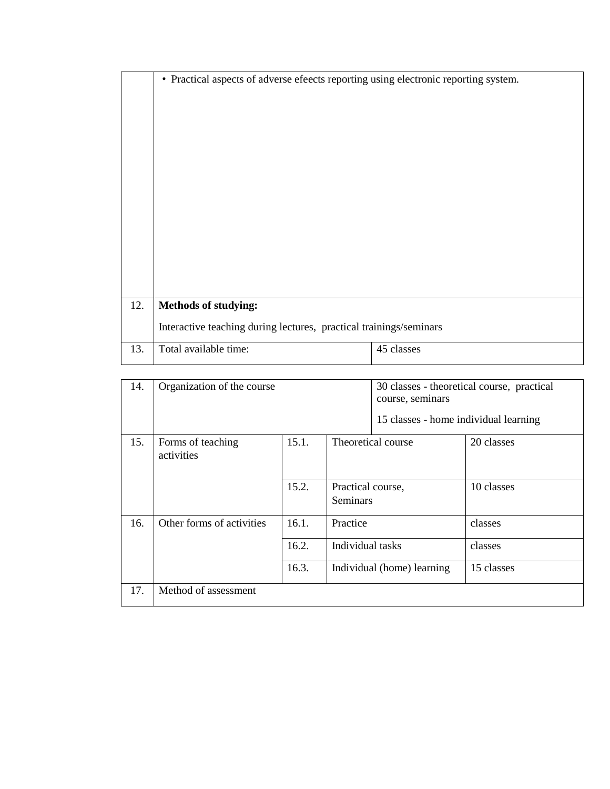|     | • Practical aspects of adverse efeects reporting using electronic reporting system. |            |  |  |  |  |
|-----|-------------------------------------------------------------------------------------|------------|--|--|--|--|
|     |                                                                                     |            |  |  |  |  |
|     |                                                                                     |            |  |  |  |  |
|     |                                                                                     |            |  |  |  |  |
|     |                                                                                     |            |  |  |  |  |
|     |                                                                                     |            |  |  |  |  |
|     |                                                                                     |            |  |  |  |  |
|     |                                                                                     |            |  |  |  |  |
|     |                                                                                     |            |  |  |  |  |
|     |                                                                                     |            |  |  |  |  |
|     |                                                                                     |            |  |  |  |  |
|     |                                                                                     |            |  |  |  |  |
|     |                                                                                     |            |  |  |  |  |
| 12. | <b>Methods of studying:</b>                                                         |            |  |  |  |  |
|     | Interactive teaching during lectures, practical trainings/seminars                  |            |  |  |  |  |
| 13. | Total available time:                                                               | 45 classes |  |  |  |  |

| 14. | Organization of the course               |       |                                      | 30 classes - theoretical course, practical<br>course, seminars<br>15 classes - home individual learning |            |  |
|-----|------------------------------------------|-------|--------------------------------------|---------------------------------------------------------------------------------------------------------|------------|--|
| 15. | 15.1.<br>Forms of teaching<br>activities |       |                                      | Theoretical course                                                                                      | 20 classes |  |
|     |                                          | 15.2. | Practical course,<br><b>Seminars</b> |                                                                                                         | 10 classes |  |
| 16. | Other forms of activities                | 16.1. | Practice                             |                                                                                                         | classes    |  |
|     |                                          | 16.2. | Individual tasks                     |                                                                                                         | classes    |  |
|     |                                          | 16.3. |                                      | Individual (home) learning                                                                              | 15 classes |  |
| 17. | Method of assessment                     |       |                                      |                                                                                                         |            |  |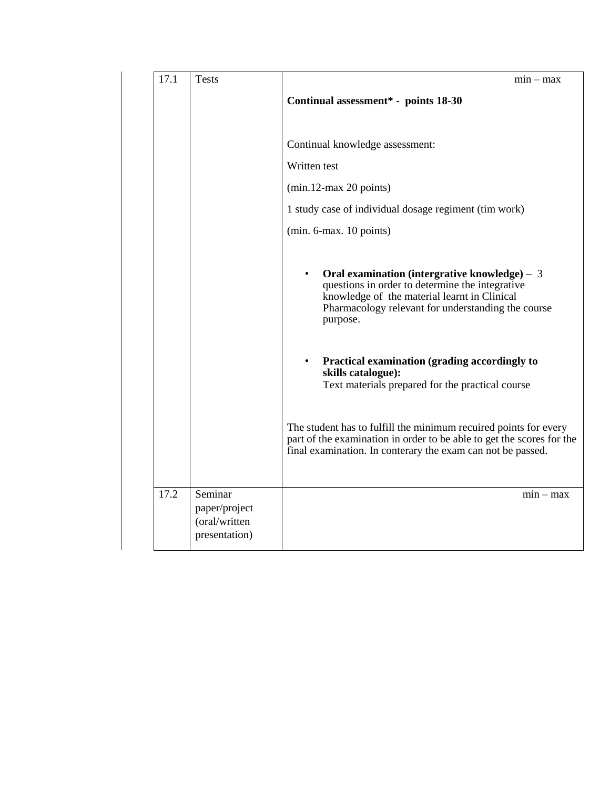| 17.1 | <b>Tests</b>                                               | $min - max$                                                                                                                                                                                                                      |
|------|------------------------------------------------------------|----------------------------------------------------------------------------------------------------------------------------------------------------------------------------------------------------------------------------------|
|      |                                                            | Continual assessment* - points 18-30                                                                                                                                                                                             |
|      |                                                            | Continual knowledge assessment:                                                                                                                                                                                                  |
|      |                                                            | Written test                                                                                                                                                                                                                     |
|      |                                                            | $(min.12-max 20 points)$                                                                                                                                                                                                         |
|      |                                                            | 1 study case of individual dosage regiment (tim work)                                                                                                                                                                            |
|      |                                                            | $(min. 6-max. 10 points)$                                                                                                                                                                                                        |
|      |                                                            | Oral examination (intergrative knowledge) $-3$<br>$\bullet$<br>questions in order to determine the integrative<br>knowledge of the material learnt in Clinical<br>Pharmacology relevant for understanding the course<br>purpose. |
|      |                                                            | Practical examination (grading accordingly to<br>$\bullet$<br>skills catalogue):<br>Text materials prepared for the practical course                                                                                             |
|      |                                                            | The student has to fulfill the minimum recuired points for every<br>part of the examination in order to be able to get the scores for the<br>final examination. In conterary the exam can not be passed.                         |
| 17.2 | Seminar<br>paper/project<br>(oral/written<br>presentation) | $min - max$                                                                                                                                                                                                                      |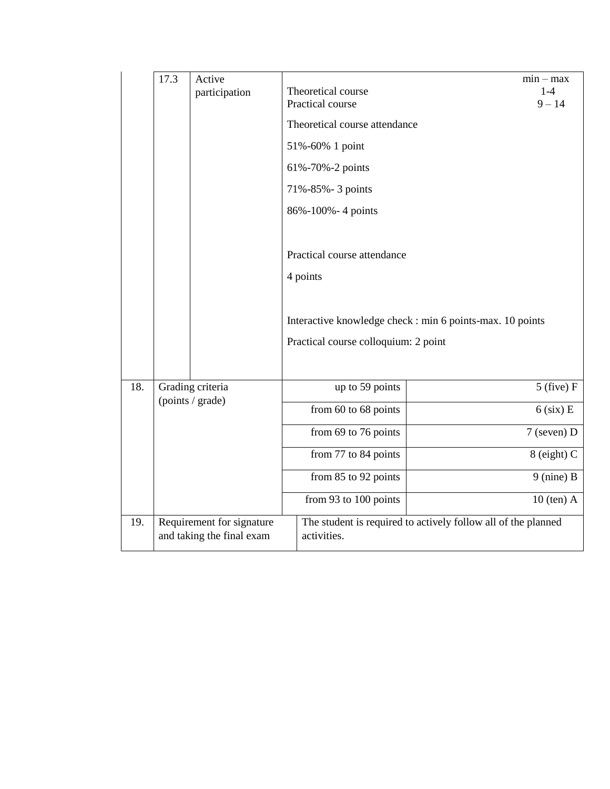|     | 17.3                                                   | Active<br>participation                                       | Theoretical course<br>Practical course | $min - max$<br>$1 - 4$<br>$9 - 14$                        |
|-----|--------------------------------------------------------|---------------------------------------------------------------|----------------------------------------|-----------------------------------------------------------|
|     |                                                        |                                                               | Theoretical course attendance          |                                                           |
|     |                                                        |                                                               | 51%-60% 1 point                        |                                                           |
|     |                                                        |                                                               | 61%-70%-2 points                       |                                                           |
|     |                                                        |                                                               | 71%-85%-3 points                       |                                                           |
|     |                                                        |                                                               | 86%-100%-4 points                      |                                                           |
|     |                                                        |                                                               |                                        |                                                           |
|     |                                                        |                                                               | Practical course attendance            |                                                           |
|     |                                                        |                                                               | 4 points                               |                                                           |
|     |                                                        |                                                               |                                        |                                                           |
|     |                                                        |                                                               |                                        | Interactive knowledge check : min 6 points-max. 10 points |
|     |                                                        |                                                               | Practical course colloquium: 2 point   |                                                           |
|     |                                                        |                                                               |                                        |                                                           |
| 18. |                                                        | Grading criteria                                              | up to 59 points                        | $5$ (five) $F$                                            |
|     |                                                        | (points / grade)                                              | from 60 to 68 points                   | $6$ (six) E                                               |
|     |                                                        |                                                               | from 69 to 76 points                   | 7 (seven) D                                               |
|     |                                                        |                                                               | from 77 to 84 points                   | $8$ (eight) C                                             |
|     |                                                        |                                                               | from 85 to 92 points                   | $9$ (nine) B                                              |
|     |                                                        |                                                               | from 93 to 100 points                  | $10$ (ten) A                                              |
| 19. | Requirement for signature<br>and taking the final exam | The student is required to actively follow all of the planned |                                        |                                                           |